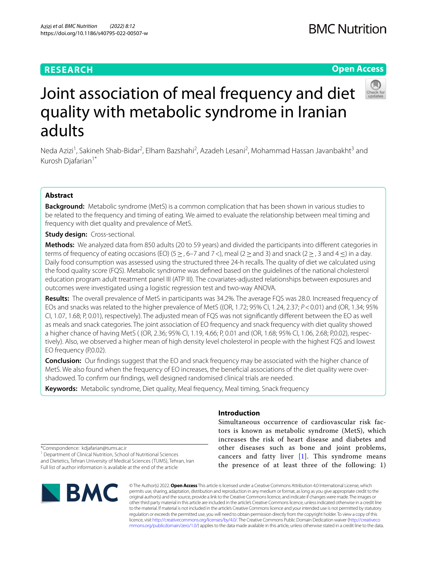## **RESEARCH**

## **BMC Nutrition**

## **Open Access**



# Joint association of meal frequency and diet quality with metabolic syndrome in Iranian adults

Neda Azizi<sup>1</sup>, Sakineh Shab-Bidar<sup>2</sup>, Elham Bazshahi<sup>2</sup>, Azadeh Lesani<sup>2</sup>, Mohammad Hassan Javanbakht<sup>3</sup> and Kurosh Djafarian<sup>1\*</sup>

## **Abstract**

**Background:** Metabolic syndrome (MetS) is a common complication that has been shown in various studies to be related to the frequency and timing of eating. We aimed to evaluate the relationship between meal timing and frequency with diet quality and prevalence of MetS.

## **Study design:** Cross-sectional.

**Methods:** We analyzed data from 850 adults (20 to 59 years) and divided the participants into diferent categories in terms of frequency of eating occasions (EO) (5  $\geq$  , 6–7 and 7<), meal (2  $\geq$  and 3) and snack (2  $\geq$  , 3 and 4  $\leq$ ) in a day. Daily food consumption was assessed using the structured three 24-h recalls. The quality of diet we calculated using the food quality score (FQS). Metabolic syndrome was defned based on the guidelines of the national cholesterol education program adult treatment panel III (ATP III). The covariates-adjusted relationships between exposures and outcomes were investigated using a logistic regression test and two-way ANOVA.

**Results:** The overall prevalence of MetS in participants was 34.2%. The average FQS was 28.0. Increased frequency of EOs and snacks was related to the higher prevalence of MetS ((OR, 1.72; 95% CI, 1.24, 2.37; *P*<0.01) and (OR, 1.34; 95% CI, 1.07, 1.68; P, 0.01), respectively). The adjusted mean of FQS was not signifcantly diferent between the EO as well as meals and snack categories. The joint association of EO frequency and snack frequency with diet quality showed a higher chance of having MetS ( (OR, 2.36; 95% CI, 1.19, 4.66; P, 0.01 and (OR, 1.68; 95% CI, 1.06, 2.68; P,0.02), respec‑ tively). Also, we observed a higher mean of high density level cholesterol in people with the highest FQS and lowest EO frequency (P,0.02).

**Conclusion:** Our fndings suggest that the EO and snack frequency may be associated with the higher chance of MetS. We also found when the frequency of EO increases, the beneficial associations of the diet quality were overshadowed. To confrm our fndings, well designed randomised clinical trials are needed.

**Keywords:** Metabolic syndrome, Diet quality, Meal frequency, Meal timing, Snack frequency

## **Introduction**

Simultaneous occurrence of cardiovascular risk factors is known as metabolic syndrome (MetS), which increases the risk of heart disease and diabetes and other diseases such as bone and joint problems, cancers and fatty liver [[1\]](#page-9-0). This syndrome means the presence of at least three of the following: 1)

\*Correspondence: kdjafarian@tums.ac.ir

<sup>1</sup> Department of Clinical Nutrition, School of Nutritional Sciences and Dietetics, Tehran University of Medical Sciences (TUMS), Tehran, Iran Full list of author information is available at the end of the article



© The Author(s) 2022. **Open Access** This article is licensed under a Creative Commons Attribution 4.0 International License, which permits use, sharing, adaptation, distribution and reproduction in any medium or format, as long as you give appropriate credit to the original author(s) and the source, provide a link to the Creative Commons licence, and indicate if changes were made. The images or other third party material in this article are included in the article's Creative Commons licence, unless indicated otherwise in a credit line to the material. If material is not included in the article's Creative Commons licence and your intended use is not permitted by statutory regulation or exceeds the permitted use, you will need to obtain permission directly from the copyright holder. To view a copy of this licence, visit [http://creativecommons.org/licenses/by/4.0/.](http://creativecommons.org/licenses/by/4.0/) The Creative Commons Public Domain Dedication waiver ([http://creativeco](http://creativecommons.org/publicdomain/zero/1.0/) [mmons.org/publicdomain/zero/1.0/](http://creativecommons.org/publicdomain/zero/1.0/)) applies to the data made available in this article, unless otherwise stated in a credit line to the data.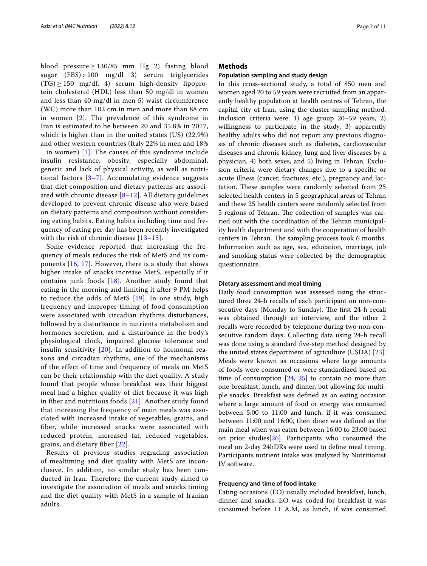blood pressure  $\geq$  130/85 mm Hg 2) fasting blood sugar (FBS) > 100 mg/dl 3) serum triglycerides  $(TG) \ge 150$  mg/dl, 4) serum high-density lipoprotein cholesterol (HDL) less than 50 mg/dl in women and less than 40 mg/dl in men 5) waist circumference (WC) more than 102 cm in men and more than 88 cm in women [\[2](#page-9-1)]. The prevalence of this syndrome in Iran is estimated to be between 20 and 35.8% in 2017, which is higher than in the united states (US) (22.9%) and other western countries (Italy 22% in men and 18%

in women) [[1\]](#page-9-0). The causes of this syndrome include insulin resistance, obesity, especially abdominal, genetic and lack of physical activity, as well as nutritional factors [[3–](#page-9-2)[7](#page-9-3)]. Accumulating evidence suggests that diet composition and dietary patterns are associated with chronic disease  $[8-12]$  $[8-12]$  $[8-12]$ . All dietary guidelines developed to prevent chronic disease also were based on dietary patterns and composition without considering eating habits. Eating habits including time and frequency of eating per day has been recently investigated with the risk of chronic disease [\[13–](#page-9-6)[15\]](#page-9-7).

Some evidence reported that increasing the frequency of meals reduces the risk of MetS and its components [[16,](#page-9-8) [17\]](#page-9-9). However, there is a study that shows higher intake of snacks increase MetS, especially if it contains junk foods [[18\]](#page-9-10). Another study found that eating in the morning and limiting it after 9 PM helps to reduce the odds of MetS [[19\]](#page-9-11). In one study, high frequency and improper timing of food consumption were associated with circadian rhythms disturbances, followed by a disturbance in nutrients metabolism and hormones secretion, and a disturbance in the body's physiological clock, impaired glucose tolerance and insulin sensitivity  $[20]$  $[20]$  $[20]$ . In addition to hormonal reasons and circadian rhythms, one of the mechanisms of the effect of time and frequency of meals on MetS can be their relationship with the diet quality. A study found that people whose breakfast was their biggest meal had a higher quality of diet because it was high in fiber and nutritious foods [\[21](#page-9-13)]. Another study found that increasing the frequency of main meals was associated with increased intake of vegetables, grains, and fiber, while increased snacks were associated with reduced protein, increased fat, reduced vegetables, grains, and dietary fiber [[22](#page-9-14)].

Results of previous studies regrading association of mealtiming and diet quality with MetS are inconclusive. In addition, no similar study has been conducted in Iran. Therefore the current study aimed to investigate the association of meals and snacks timing and the diet quality with MetS in a sample of Iranian adults.

## **Methods**

## **Population sampling and study design**

In this cross-sectional study, a total of 850 men and women aged 20 to 59 years were recruited from an apparently healthy population at health centres of Tehran, the capital city of Iran, using the cluster sampling method. Inclusion criteria were: 1) age group 20–59 years, 2) willingness to participate in the study, 3) apparently healthy adults who did not report any previous diagnosis of chronic diseases such as diabetes, cardiovascular diseases and chronic kidney, lung and liver diseases by a physician, 4) both sexes, and 5) living in Tehran. Exclusion criteria were dietary changes due to a specifc or acute illness (cancer, fractures, etc.), pregnancy and lactation. These samples were randomly selected from 25 selected health centers in 5 geographical areas of Tehran and these 25 health centers were randomly selected from 5 regions of Tehran. The collection of samples was carried out with the coordination of the Tehran municipality health department and with the cooperation of health centers in Tehran. The sampling process took 6 months. Information such as age, sex, education, marriage, job and smoking status were collected by the demographic questionnaire.

## **Dietary assessment and meal timing**

Daily food consumption was assessed using the structured three 24-h recalls of each participant on non-consecutive days (Monday to Sunday). The first 24-h recall was obtained through an interview, and the other 2 recalls were recorded by telephone during two non-consecutive random days. Collecting data using 24-h recall was done using a standard five-step method designed by the united states department of agriculture (USDA) [\[23](#page-9-15)]. Meals were known as occasions where large amounts of foods were consumed or were standardized based on time of consumption [\[24](#page-9-16), [25](#page-9-17)] to contain no more than one breakfast, lunch, and dinner, but allowing for multiple snacks. Breakfast was defned as an eating occasion where a large amount of food or energy was consumed between 5:00 to 11:00 and lunch, if it was consumed between 11:00 and 16:00, then diner was defned as the main meal when was eaten between 16:00 to 23:00 based on prior studies[[26\]](#page-9-18). Participants who consumed the meal on 2-day 24hDRs were used to defne meal timing. Participants nutrient intake was analyzed by Nutritionist IV software.

## **Frequency and time of food intake**

Eating occasions (EO) usually included breakfast, lunch, dinner and snacks. EO was coded for breakfast if was consumed before 11 A.M, as lunch, if was consumed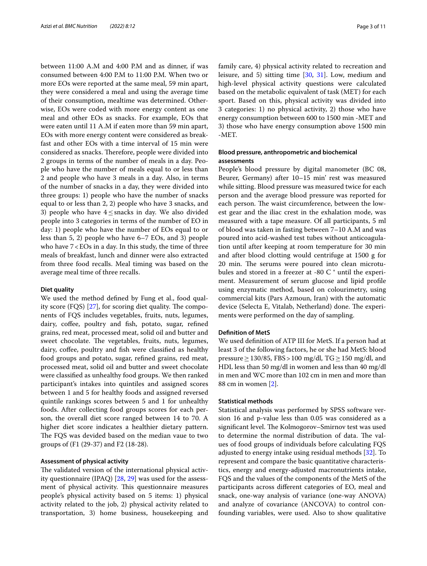between 11:00 A.M and 4:00 P.M and as dinner, if was consumed between 4:00 P.M to 11:00 P.M. When two or more EOs were reported at the same meal, 59 min apart, they were considered a meal and using the average time of their consumption, mealtime was determined. Otherwise, EOs were coded with more energy content as one meal and other EOs as snacks. For example, EOs that were eaten until 11 A.M if eaten more than 59 min apart, EOs with more energy content were considered as breakfast and other EOs with a time interval of 15 min were considered as snacks. Therefore, people were divided into 2 groups in terms of the number of meals in a day. People who have the number of meals equal to or less than 2 and people who have 3 meals in a day. Also, in terms of the number of snacks in a day, they were divided into three groups: 1) people who have the number of snacks equal to or less than 2, 2) people who have 3 snacks, and 3) people who have  $4 \leq$ snacks in day. We also divided people into 3 categories in terms of the number of EO in day: 1) people who have the number of EOs equal to or less than 5, 2) people who have 6–7 EOs, and 3) people who have  $7 <$  EOs in a day. In this study, the time of three meals of breakfast, lunch and dinner were also extracted from three food recalls. Meal timing was based on the average meal time of three recalls.

## **Diet quality**

We used the method defned by Fung et al., food quality score  $(FQS)$  [\[27](#page-9-19)], for scoring diet quality. The components of FQS includes vegetables, fruits, nuts, legumes, dairy, coffee, poultry and fish, potato, sugar, refined grains, red meat, processed meat, solid oil and butter and sweet chocolate. The vegetables, fruits, nuts, legumes, dairy, coffee, poultry and fish were classified as healthy food groups and potato, sugar, refned grains, red meat, processed meat, solid oil and butter and sweet chocolate were classifed as unhealthy food groups. We then ranked participant's intakes into quintiles and assigned scores between 1 and 5 for healthy foods and assigned reversed quintile rankings scores between 5 and 1 for unhealthy foods. After collecting food groups scores for each person, the overall diet score ranged between 14 to 70. A higher diet score indicates a healthier dietary pattern. The FQS was devided based on the median vaue to two groups of (F1 (29-37) and F2 (18-28).

## **Assessment of physical activity**

The validated version of the international physical activity questionnaire (IPAQ) [[28,](#page-9-20) [29](#page-9-21)] was used for the assessment of physical activity. This questionnaire measures people's physical activity based on 5 items: 1) physical activity related to the job, 2) physical activity related to transportation, 3) home business, housekeeping and family care, 4) physical activity related to recreation and leisure, and 5) sitting time [[30](#page-9-22), [31\]](#page-9-23). Low, medium and high-level physical activity questions were calculated based on the metabolic equivalent of task (MET) for each sport. Based on this, physical activity was divided into 3 categories: 1) no physical activity, 2) those who have energy consumption between 600 to 1500 min -MET and 3) those who have energy consumption above 1500 min -MET.

## **Blood pressure, anthropometric and biochemical assessments**

People's blood pressure by digital manometer (BC 08, Beurer, Germany) after 10–15 min' rest was measured while sitting. Blood pressure was measured twice for each person and the average blood pressure was reported for each person. The waist circumference, between the lowest gear and the iliac crest in the exhalation mode, was measured with a tape measure. Of all participants, 5 ml of blood was taken in fasting between 7–10 A.M and was poured into acid-washed test tubes without anticoagulation until after keeping at room temperature for 30 min and after blood clotting would centrifuge at 1500 g for 20 min. The serums were poured into clean microtubules and stored in a freezer at -80 C ° until the experiment. Measurement of serum glucose and lipid profle using enzymatic method, based on colourimetry, using commercial kits (Pars Azmoun, Iran) with the automatic device (Selecta E, Vitalab, Netherland) done. The experiments were performed on the day of sampling.

## **Defnition of MetS**

We used defnition of ATP III for MetS. If a person had at least 3 of the following factors, he or she had MetS: blood pressure  $\geq$  130/85, FBS > 100 mg/dl, TG  $\geq$  150 mg/dl, and HDL less than 50 mg/dl in women and less than 40 mg/dl in men and WC more than 102 cm in men and more than 88 cm in women [[2\]](#page-9-1).

## **Statistical methods**

Statistical analysis was performed by SPSS software version 16 and p-value less than 0.05 was considered as a significant level. The Kolmogorov–Smirnov test was used to determine the normal distribution of data. The values of food groups of individuals before calculating FQS adjusted to energy intake using residual methods [\[32](#page-10-0)]. To represent and compare the basic quantitative characteristics, energy and energy-adjusted macronutrients intake, FQS and the values of the components of the MetS of the participants across diferent categories of EO, meal and snack, one-way analysis of variance (one-way ANOVA) and analyze of covariance (ANCOVA) to control confounding variables, were used. Also to show qualitative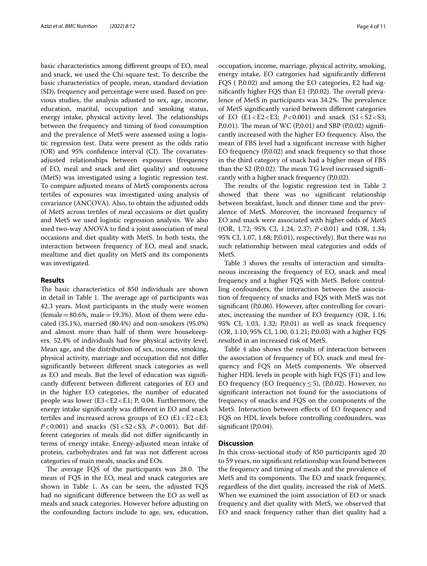basic characteristics among diferent groups of EO, meal and snack, we used the Chi-square test. To describe the basic characteristics of people, mean, standard deviation (SD), frequency and percentage were used. Based on previous studies, the analysis adjusted to sex, age, income, education, marital, occupation and smoking status, energy intake, physical activity level. The relationships between the frequency and timing of food consumption and the prevalence of MetS were assessed using a logistic regression test. Data were present as the odds ratio  $(OR)$  and 95% confidence interval  $(CI)$ . The covariatesadjusted relationships between exposures (frequency of EO, meal and snack and diet quality) and outcome (MetS) was investigated using a logistic regression test. To compare adjusted means of MetS components across tertiles of exposures was investigated using analysis of covariance (ANCOVA). Also, to obtain the adjusted odds of MetS across tertiles of meal occasions or diet quality and MetS we used logistic regression analysis. We also used two-way ANOVA to fnd a joint association of meal occasions and diet quality with MetS. In both tests, the interaction between frequency of EO, meal and snack, mealtime and diet quality on MetS and its components was investigated.

## **Results**

The basic characteristics of 850 individuals are shown in detail in Table [1](#page-4-0). The average age of participants was 42.3 years. Most participants in the study were women (female  $=80.6%$ , male  $=19.3%$ ). Most of them were educated (35.1%), married (80.4%) and non-smokers (95.0%) and almost more than half of them were housekeepers. 52.4% of individuals had low physical activity level. Mean age, and the distribution of sex, income, smoking, physical activity, marriage and occupation did not difer signifcantly between diferent snack categories as well as EO and meals. But the level of education was signifcantly diferent between diferent categories of EO and in the higher EO categories, the number of educated people was lower (E3<E2<E1; P, 0.04. Furthermore, the energy intake signifcantly was diferent in EO and snack tertiles and increased across groups of EO  $(E1 E2 E3;$ *P*<0.001) and snacks (S1<S2<S3; *P*<0.001). But different categories of meals did not difer signifcantly in terms of energy intake. Energy-adjusted mean intake of protein, carbohydrates and fat was not diferent across categories of main meals, snacks and EOs.

The average FQS of the participants was 28.0. The mean of FQS in the EO, meal and snack categories are shown in Table [1](#page-4-0). As can be seen, the adjusted  $FQS$ had no signifcant diference between the EO as well as meals and snack categories. However before adjusting on the confounding factors include to age, sex, education, occupation, income, marriage, physical activity, smoking, energy intake, EO categories had signifcantly diferent FQS ( P,0.02) and among the EO categories, E2 had significantly higher  $FQS$  than  $E1$  (P,0.02). The overall prevalence of MetS in participants was 34.2%. The prevalence of MetS signifcantly varied between diferent categories of EO (E1<E2<E3; *P*<0.001) and snack (S1<S2<S3; P,0.01). The mean of WC (P,0.01) and SBP (P,0.02) significantly increased with the higher EO frequency. Also, the mean of FBS level had a signifcant increase with higher EO frequency (P,0.02) and snack frequency so that those in the third category of snack had a higher mean of FBS than the  $S2$  (P,0.02). The mean TG level increased significantly with a higher snack frequency (P,0.02).

The results of the logistic regression test in Table  $2$ showed that there was no signifcant relationship between breakfast, lunch and dinner time and the prevalence of MetS. Moreover, the increased frequency of EO and snack were associated with higher odds of MetS ((OR, 1.72; 95% CI, 1.24, 2.37; *P*<0.01) and (OR, 1.34; 95% CI, 1.07, 1.68; P,0.01), respectively). But there was no such relationship between meal categories and odds of MetS.

Table [3](#page-6-0) shows the results of interaction and simultaneous increasing the frequency of EO, snack and meal frequency and a higher FQS with MetS. Before controlling confounders, the interaction between the association of frequency of snacks and FQS with MetS was not signifcant (P,0.06). However, after controlling for covariates, increasing the number of EO frequency (OR, 1.16; 95% CI, 1.03, 1.32; P,0.01) as well as snack frequency (OR, 1.10; 95% CI, 1.00, 0.1.21; P,0.03) with a higher FQS resulted in an increased risk of MetS.

Table [4](#page-7-0) also shows the results of interaction between the association of frequency of EO, snack and meal frequency and FQS on MetS components. We observed higher HDL levels in people with high FQS (F1) and low EO frequency (EO frequency  $\leq$  5), (P,0.02). However, no signifcant interaction not found for the associations of frequency of snacks and FQS on the components of the MetS. Interaction between efects of EO frequency and FQS on HDL levels before controlling confounders, was significant (P,0.04).

## **Discussion**

In this cross-sectional study of 850 participants aged 20 to 59 years, no signifcant relationship was found between the frequency and timing of meals and the prevalence of MetS and its components. The EO and snack frequency, regardless of the diet quality, increased the risk of MetS. When we examined the joint association of EO or snack frequency and diet quality with MetS, we observed that EO and snack frequency rather than diet quality had a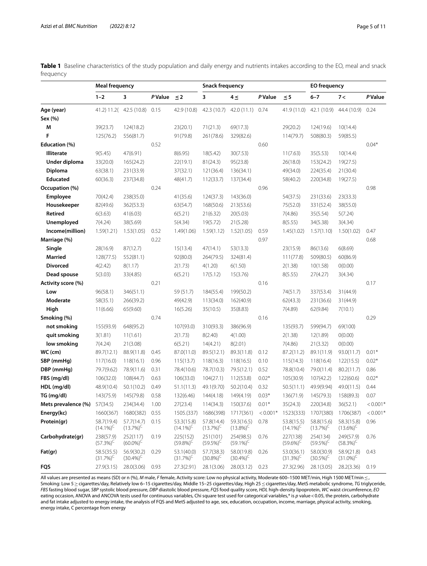<span id="page-4-0"></span>

|           | Table 1 Baseline characteristics of the study population and daily energy and nutrients intakes according to the EO, meal and snack |  |  |  |  |
|-----------|-------------------------------------------------------------------------------------------------------------------------------------|--|--|--|--|
| frequency |                                                                                                                                     |  |  |  |  |

|                     | <b>Meal frequency</b>      |                            |                |                            | <b>Snack frequency</b>     |                            |            |                            | <b>EO</b> frequency        |                            |            |
|---------------------|----------------------------|----------------------------|----------------|----------------------------|----------------------------|----------------------------|------------|----------------------------|----------------------------|----------------------------|------------|
|                     | $1 - 2$                    | 3                          | <b>P</b> Value | $\leq$ 2                   | 3                          | $4 \leq$                   | P Value    | $\leq 5$                   | $6 - 7$                    | 7<                         | P Value    |
| Age (year)          |                            | 41.2) 11.2( 42.5 (10.8)    | 0.15           | 42.9 (10.8)                | 42.3 (10.7)                | 42.0(11.1)                 | 0.74       | 41.9 (11.0)                | 42.1 (10.9)                | 44.4 (10.9)                | 0.24       |
| Sex (%)             |                            |                            |                |                            |                            |                            |            |                            |                            |                            |            |
| M                   | 39(23.7)                   | 124(18.2)                  |                | 23(20.1)                   | 71(21.3)                   | 69(17.3)                   |            | 29(20.2)                   | 124(19.6)                  | 10(14.4)                   |            |
| F                   | 125(76.2)                  | 556(81.7)                  |                | 91(79.8)                   | 261(78.6)                  | 329(82.6)                  |            | 114(79.7)                  | 508(80.3)                  | 59(85.5)                   |            |
| Education (%)       |                            |                            | 0.52           |                            |                            |                            | 0.60       |                            |                            |                            | $0.04*$    |
| <b>Illiterate</b>   | 9(5.45)                    | 47(6.91)                   |                | 8(6.95)                    | 18(5.42)                   | 30(7.53)                   |            | 11(7.63)                   | 35(5.53)                   | 10(14.4)                   |            |
| Under diploma       | 33(20.0)                   | 165(24.2)                  |                | 22(19.1)                   | 81(24.3)                   | 95(23.8)                   |            | 26(18.0)                   | 153(24.2)                  | 19(27.5)                   |            |
| Diploma             | 63(38.1)                   | 231(33.9)                  |                | 37(32.1)                   | 121(36.4)                  | 136(34.1)                  |            | 49(34.0)                   | 224(35.4)                  | 21(30.4)                   |            |
| <b>Educated</b>     | 60(36.3)                   | 237(34.8)                  |                | 48(41.7)                   | 112(33.7)                  | 137(34.4)                  |            | 58(40.2)                   | 220(34.8)                  | 19(27.5)                   |            |
| Occupation (%)      |                            |                            | 0.24           |                            |                            |                            | 0.96       |                            |                            |                            | 0.98       |
| Employee            | 70(42.4)                   | 238(35.0)                  |                | 41(35.6)                   | 124(37.3)                  | 143(36.0)                  |            | 54(37.5)                   | 231(33.6)                  | 23(33.3)                   |            |
| Housekeeper         | 82(49.6)                   | 362(53.3)                  |                | 63(54.7)                   | 168(50.6)                  | 213(53.6)                  |            | 75(52.0)                   | 331(52.4)                  | 38(55.0)                   |            |
| Retired             | 6(3.63)                    | 41(6.03)                   |                | 6(5.21)                    | 21(6.32)                   | 20(5.03)                   |            | 7(4.86)                    | 35(5.54)                   | 5(7.24)                    |            |
| Unemployed          | 7(4.24)                    | 38(5.69)                   |                | 5(4.34)                    | 19(5.72)                   | 21(5.28)                   |            | 8(5.55)                    | 34(5.38)                   | 3(4.34)                    |            |
| Income(million)     | 1.59(1.21)                 | 1.53(1.05)                 | 0.52           | 1.49(1.06)                 | 1.59(1.12)                 | 1.52(1.05)                 | 0.59       | 1.45(1.02)                 | 1.57(1.10)                 | 1.50(1.02)                 | 0.47       |
| Marriage (%)        |                            |                            | 0.22           |                            |                            |                            | 0.97       |                            |                            |                            | 0.68       |
| Single              | 28(16.9)                   | 87(12.7)                   |                | 15(13.4)                   | 47(14.1)                   | 53(13.3)                   |            | 23(15.9)                   | 86(13.6)                   | 6(8.69)                    |            |
| <b>Married</b>      | 128(77.5)                  | 552(81.1)                  |                | 92(80.0)                   | 264(79.5)                  | 324(81.4)                  |            | 111(77.8)                  | 509(80.5)                  | 60(86.9)                   |            |
| <b>Divorced</b>     | 4(2.42)                    | 8(1.17)                    |                | 2(1.73)                    | 4(1.20)                    | 6(1.50)                    |            | 2(1.38)                    | 10(1.58)                   | 0(0.00)                    |            |
| Dead spouse         | 5(3.03)                    | 33(4.85)                   |                | 6(5.21)                    | 17(5.12)                   | 15(3.76)                   |            | 8(5.55)                    | 27(4.27)                   | 3(4.34)                    |            |
| Activity score (%)  |                            |                            | 0.21           |                            |                            |                            | 0.16       |                            |                            |                            | 0.17       |
| Low                 | 96(58.1)                   | 346(51.1)                  |                | 59 (51.7)                  | 184(55.4)                  | 199(50.2)                  |            | 74(51.7)                   | 337(53.4)                  | 31(44.9)                   |            |
| Moderate            | 58(35.1)                   | 266(39.2)                  |                | 49(42.9)                   | 113(34.0)                  | 162(40.9)                  |            | 62(43.3)                   | 231(36.6)                  | 31(44.9)                   |            |
| High                | 11(6.66)                   | 65(9.60)                   |                | 16(5.26)                   | 35(10.5)                   | 35(8.83)                   |            | 7(4.89)                    | 62(9.84)                   | 7(10.1)                    |            |
| Smoking (%)         |                            |                            | 0.74           |                            |                            |                            | 0.16       |                            |                            |                            | 0.29       |
| not smoking         | 155(93.9)                  | 648(95.2)                  |                | 107(93.0)                  | 310(93.3)                  | 386(96.9)                  |            | 135(93.7)                  | 599(94.7)                  | 69(100)                    |            |
| quit smoking        | 3(1.81)                    | 11(1.61)                   |                | 2(1.73)                    | 8(2.40)                    | 4(1.00)                    |            | 2(1.38)                    | 12(1.89)                   | 0(0.00)                    |            |
| low smoking         | 7(4.24)                    | 21(3.08)                   |                | 6(5.21)                    | 14(4.21)                   | 8(2.01)                    |            | 7(4.86)                    | 21(3.32)                   | 0(0.00)                    |            |
| $WC$ (cm)           | 89.7(12.1)                 | 88.9(11.8)                 | 0.45           | 87.0(11.0)                 | 89.5(12.1)                 | 89.3(11.8)                 | 0.12       | 87.2(11.2)                 | 89.1(11.9)                 | 93.0(11.7)                 | $0.01*$    |
| SBP (mmHg)          | 117(16.0)                  | 118(16.1)                  | 0.96           | 115(13.7)                  | 118(16.3)                  | 118(16.5)                  | 0.10       | 115(14.3)                  | 118(16.4)                  | 122(15.5)                  | $0.02*$    |
| DBP (mmHq)          | 79.7(9.62)                 | 78.9(11.6)                 | 0.31           | 78.4(10.6)                 | 78.7(10.3)                 | 79.5(12.1)                 | 0.52       | 78.8(10.4)                 | 79.0(11.4)                 | 80.2(11.7)                 | 0.86       |
| FBS (mg/dl)         | 106(32.0)                  | 108(44.7)                  | 0.63           | 106(33.0)                  | 104(27.1)                  | 112(53.8)                  | $0.02*$    | 105(30.9)                  | 107(42.2)                  | 122(60.6)                  | $0.02*$    |
| HDL (mg/dl)         | 48.9(10.4)                 | 50.1(10.2)                 | 0.49           | 51.1(11.3)                 | 49.1(9.70)                 | 50.2(10.4)                 | 0.32       | 50.5(11.1)                 | 49.9(9.94)                 | 49.0(11.5)                 | 0.44       |
| TG (mg/dl)          | 143(75.9)                  | 145(79.8)                  | 0.58           | 132(6.46)                  | 144(4.18)                  | 149(4.19)                  | $0.03*$    | 136(71.9)                  | 145(79.3)                  | 158(89.3)                  | 0.07       |
| Mets prevalence (%) | 57(34.5)                   | 234(34.4)                  | 1.00           | 27(23.4)                   | 114(34.3)                  | 150(37.6)                  | $0.01*$    | 35(24.3)                   | 220(34.8)                  | 36(52.1)                   | $< 0.001*$ |
| Energy(kc)          | 1660(367)                  | 1680(382)                  | 0.55           | 1505.(337)                 | 1686(398)                  | 1717(361)                  | $< 0.001*$ | 1523(333)                  | 1707(380)                  | 1706(387)                  | $< 0.001*$ |
| Protein(gr)         | 58.7(19.4)<br>$(14.1\%)^C$ | 57.7(14.7)<br>$(13.7\%)^C$ | 0.15           | 53.3(15.8)<br>$(14.1\%)^C$ | 57.8(14.4)<br>$(13.7\%)^C$ | 59.3(16.5)<br>$(13.8\%)^C$ | 0.78       | 53.8(15.5)<br>$(14.1\%)^C$ | 58.8(15.6)<br>$(13.7\%)^C$ | 58.3(15.8)<br>$(13.6\%)^C$ | 0.96       |
| Carbohydrate(gr)    | 238(57.9)<br>$(57.3%)^C$   | 252(117)<br>$(60.0\%)^C$   | 0.19           | 225(152)<br>$(59.8\%)^C$   | 251(101)<br>$(59.5\%)^C$   | 254(98.5)<br>$(59.1\%)^C$  | 0.76       | 227(138)<br>$(59.6\%)^C$   | 254(134)<br>$(59.5\%)^C$   | 249(57.9)<br>$(58.3\%)^C$  | 0.76       |
| Fat(gr)             | 58.5(35.5)<br>$(31.7\%)^C$ | 56.9(30.2)<br>$(30.4\%)^C$ | 0.29           | 53.1(40.0)<br>$(31.7\%)^C$ | 57.7(38.3)<br>$(30.8\%)^C$ | 58.0(19.8)<br>$(30.4\%)^C$ | 0.26       | 53.0(36.1)<br>$(31.3\%)^C$ | 58.0(30.9)<br>$(30.5\%)^C$ | 58.9(21.8)<br>$(31.0\%)^C$ | 0.43       |
| FQS                 | 27.9(3.15)                 | 28.0(3.06)                 | 0.93           | 27.3(2.91)                 | 28.1(3.06)                 | 28.0(3.12)                 | 0.23       | 27.3(2.96)                 | 28.1(3.05)                 | 28.2(3.36)                 | 0.19       |

All values are presented as means (SD) or n (%), *M* male, *F* female, Activity score: Low no physical activity, Moderate 600–1500 MET/min, High 1500 MET/min≤, Smoking: Low 5≥cigarettes/day, Relatively low 6–15 cigarettes/day, Middle 15–25 cigarettes/day, High 25≤cigarettes/day, MetS metabolic syndrome, *TG* triglyceride, *FBS* fasting blood sugar, *SBP* systolic blood pressure, *DBP* diastolic blood pressure, *FQS* food quality score, *HDL* high-density lipoprotein, *WC* waist circumference, *EO* eating occasion, ANOVA and ANCOVA tests used for continuous variables, Chi square test used for categorical variables,\* is *p* value<0.05, the protein, carbohydrate and fat intake adjusted to energy intake, the analysis of FQS and MetS adjusted to age, sex, education, occupation, income, marriage, physical activity, smoking, energy intake, C percentage from energy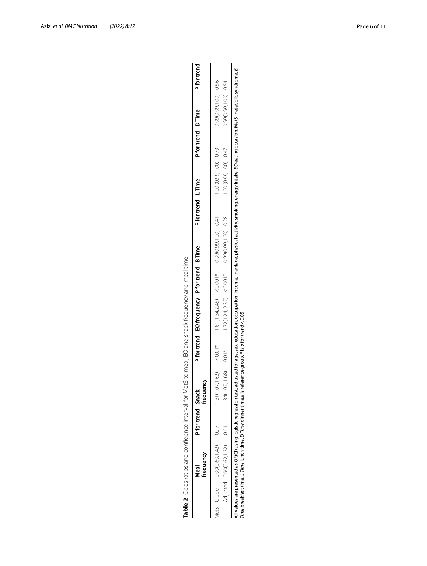<span id="page-5-0"></span>

|                            | frequency<br>Veal | Pfor trend Snack | frequency                  | P for trend EO frequency P for trend B Time | P for trend L Time   |                       | Pfor trend D Time | P for trend          |
|----------------------------|-------------------|------------------|----------------------------|---------------------------------------------|----------------------|-----------------------|-------------------|----------------------|
| MetS Crude 0.99(0.69,1.42) |                   | 0.97             | $1.31(1.07, 1.62) < 0.01*$ | $1.81(1.34,2.45) < 0.001*$                  | 0.99(0.99,1.00) 0.41 | 1.00 (0.99,1.00) 0.73 |                   | 0.99(0.99,1.00) 0.56 |
| Adjusted 0.90(0.62,1.32)   |                   | 0.61             | $1.34(1.07, 1.68)$ 0.01*   | $1.72(1.24, 2.37) < 0.001*$                 | 0.99(0.99,1.00) 0.28 | 1.00 (0.99,1.00) 0.47 |                   | 0.99(0.99,1.00) 0.54 |

ក្ក fatur Shere, Guizous, Stivitus reus Audionis Companie Computer Computer Computer Computer Computer C All values are presented as OR(CI) using logistic regression test, adjusted for age, sex, education, occupation<br>*Time* breakfast time, *L Time* lunch time, *D Time* dinner time,a is reference group, \* is p for trend < 0.05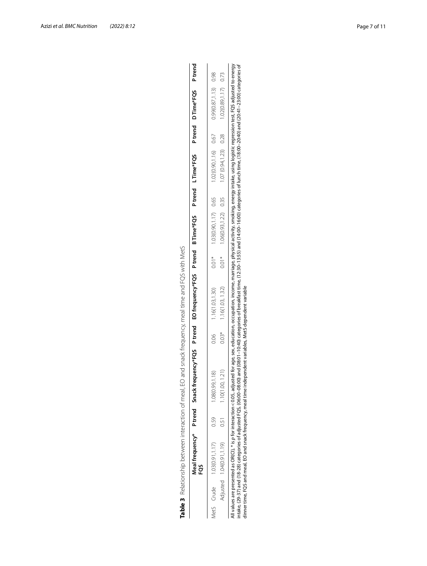<span id="page-6-0"></span>

| ۱                             |
|-------------------------------|
|                               |
| $\overline{\phantom{a}}$<br>Ï |
|                               |
|                               |
| . Contain to Contain it.<br>Ì |
|                               |
|                               |
| j                             |
| :                             |
| $-22.2$<br>l                  |
| )<br>J<br>Ì<br>I<br>d         |
| l<br>S<br>+                   |
|                               |
| $-2$<br>ׇ֘֒                   |
| j                             |
|                               |
| ۱<br>ا                        |
|                               |
|                               |
| l                             |
| ť<br>Ï<br>ï                   |
| Ċ<br>I                        |

| All values are presented as OR(Cl), * is p for interaction <0.05, adjusted for age, sex, education, occupation, income, marriage, physical activity, smoking, energy intake, using logistic regression test, FQS adjusted to e<br>ntake, (29-37) and (18-28) categories of adjusted FQS, (06:00-08:00) and (08:01-10:40) categories of breakfast time, (12:30-13:55) and (14:00-16:00) categories of lunch time, (18:00-20:40) and (20:41-23:00) categories of<br>$1.02(0.89, 1.17)$ 0.73<br>$0.99(0.87, 1.13)$ 0.98<br>1.02(0.90,1.16) 0.67<br>$1.07(0.94, 1.23)$ 0.28<br>1.03(0.90,1.17) 0.65<br>$1.06(0.93, 1.22)$ 0.35<br>$0.01*$<br>$0.01*$<br>dinner time, FQS and meal, EO and snack frequency, meal time independent variables, MetS dependent variable<br>1.16(1.03, 1.32)<br>1.16(1.03, 1.30)<br>$0.03*$<br>0.06<br>1.10(1.00, 1.21)<br>1.08(0.99,1.18)<br>0.51<br>0.59<br>MetS Crude 1.03(0.91,1.77)<br>Adjusted 1.04(0.91,1.19) |  | FO <sub>3</sub> | Meal frequency* Ptrend Snack frequency*FQS Ptrend EOfrequency*FQS Ptrend BTime*FQS Ptrend DTime*FQS Ptrend Ptrend |  |  |  |  |  |
|---------------------------------------------------------------------------------------------------------------------------------------------------------------------------------------------------------------------------------------------------------------------------------------------------------------------------------------------------------------------------------------------------------------------------------------------------------------------------------------------------------------------------------------------------------------------------------------------------------------------------------------------------------------------------------------------------------------------------------------------------------------------------------------------------------------------------------------------------------------------------------------------------------------------------------------------|--|-----------------|-------------------------------------------------------------------------------------------------------------------|--|--|--|--|--|
|                                                                                                                                                                                                                                                                                                                                                                                                                                                                                                                                                                                                                                                                                                                                                                                                                                                                                                                                             |  |                 |                                                                                                                   |  |  |  |  |  |
|                                                                                                                                                                                                                                                                                                                                                                                                                                                                                                                                                                                                                                                                                                                                                                                                                                                                                                                                             |  |                 |                                                                                                                   |  |  |  |  |  |
|                                                                                                                                                                                                                                                                                                                                                                                                                                                                                                                                                                                                                                                                                                                                                                                                                                                                                                                                             |  |                 |                                                                                                                   |  |  |  |  |  |
|                                                                                                                                                                                                                                                                                                                                                                                                                                                                                                                                                                                                                                                                                                                                                                                                                                                                                                                                             |  |                 |                                                                                                                   |  |  |  |  |  |

All values are presented as OR(Cl), \* is *p* for interaction <0.05, adjusted for age, sex, education, occupation, income, marriage, physical activity, smoking, energy intake, using logistic regression test, FQS adjusted to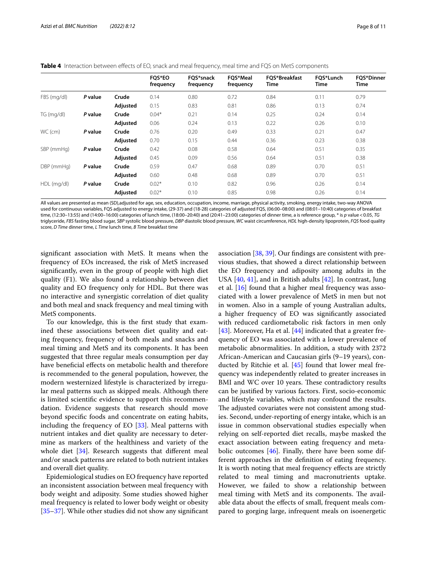<span id="page-7-0"></span>**Table 4** Interaction between effects of EO, snack and meal frequency, meal time and FQS on MetS components

|             |         |          | <b>FOS*EO</b><br>frequency | FOS*snack<br>frequency | <b>FOS*Meal</b><br>frequency | <b>FOS*Breakfast</b><br>Time | FOS*Lunch<br>Time | <b>FOS*Dinner</b><br>Time |
|-------------|---------|----------|----------------------------|------------------------|------------------------------|------------------------------|-------------------|---------------------------|
| FBS (mg/dl) | P value | Crude    | 0.14                       | 0.80                   | 0.72                         | 0.84                         | 0.11              | 0.79                      |
|             |         | Adjusted | 0.15                       | 0.83                   | 0.81                         | 0.86                         | 0.13              | 0.74                      |
| TG (mg/dl)  | P value | Crude    | $0.04*$                    | 0.21                   | 0.14                         | 0.25                         | 0.24              | 0.14                      |
|             |         | Adjusted | 0.06                       | 0.24                   | 0.13                         | 0.22                         | 0.26              | 0.10                      |
| WC (cm)     | P value | Crude    | 0.76                       | 0.20                   | 0.49                         | 0.33                         | 0.21              | 0.47                      |
|             |         | Adjusted | 0.70                       | 0.15                   | 0.44                         | 0.36                         | 0.23              | 0.38                      |
| SBP (mmHg)  | P value | Crude    | 0.42                       | 0.08                   | 0.58                         | 0.64                         | 0.51              | 0.35                      |
|             |         | Adjusted | 0.45                       | 0.09                   | 0.56                         | 0.64                         | 0.51              | 0.38                      |
| DBP (mmHg)  | P value | Crude    | 0.59                       | 0.47                   | 0.68                         | 0.89                         | 0.70              | 0.51                      |
|             |         | Adjusted | 0.60                       | 0.48                   | 0.68                         | 0.89                         | 0.70              | 0.51                      |
| HDL (mg/dl) | P value | Crude    | $0.02*$                    | 0.10                   | 0.82                         | 0.96                         | 0.26              | 0.14                      |
|             |         | Adjusted | $0.02*$                    | 0.10                   | 0.85                         | 0.98                         | 0.26              | 0.14                      |

All values are presented as mean (SD),adjusted for age, sex, education, occupation, income, marriage, physical activity, smoking, energy intake, two-way ANOVA used for continuous variables, FQS adjusted to energy intake, (29-37) and (18-28) categories of adjusted FQS, (06:00–08:00) and (08:01–10:40) categories of breakfast time, (12:30–13:55) and (14:00–16:00) categories of lunch time, (18:00–20:40) and (20:41–23:00) categories of dinner time, a is reference group, \* is *p* value<0.05, *TG* triglyceride, *FBS* fasting blood sugar, *SBP* systolic blood pressure, *DBP* diastolic blood pressure, *WC* waist circumference, *HDL* high-density lipoprotein, *FQS* food quality score, *D Time* dinner time, *L Time* lunch time, *B Time* breakfast time

signifcant association with MetS. It means when the frequency of EOs increased, the risk of MetS increased signifcantly, even in the group of people with high diet quality (F1). We also found a relationship between diet quality and EO frequency only for HDL. But there was no interactive and synergistic correlation of diet quality and both meal and snack frequency and meal timing with MetS components.

To our knowledge, this is the frst study that examined these associations between diet quality and eating frequency, frequency of both meals and snacks and meal timing and MetS and its components. It has been suggested that three regular meals consumption per day have benefcial efects on metabolic health and therefore is recommended to the general population, however, the modern westernized lifestyle is characterized by irregular meal patterns such as skipped meals. Although there is limited scientifc evidence to support this recommendation. Evidence suggests that research should move beyond specifc foods and concentrate on eating habits, including the frequency of EO [[33\]](#page-10-1). Meal patterns with nutrient intakes and diet quality are necessary to determine as markers of the healthiness and variety of the whole diet [[34](#page-10-2)]. Research suggests that different meal and/or snack patterns are related to both nutrient intakes and overall diet quality.

Epidemiological studies on EO frequency have reported an inconsistent association between meal frequency with body weight and adiposity. Some studies showed higher meal frequency is related to lower body weight or obesity [[35–](#page-10-3)[37](#page-10-4)]. While other studies did not show any signifcant

association [[38,](#page-10-5) [39](#page-10-6)]. Our fndings are consistent with previous studies, that showed a direct relationship between the EO frequency and adiposity among adults in the USA  $[40, 41]$  $[40, 41]$  $[40, 41]$  $[40, 41]$  $[40, 41]$ , and in British adults  $[42]$ . In contrast, Jung et al. [\[16](#page-9-8)] found that a higher meal frequency was associated with a lower prevalence of MetS in men but not in women. Also in a sample of young Australian adults, a higher frequency of EO was signifcantly associated with reduced cardiometabolic risk factors in men only [[43\]](#page-10-10). Moreover, Ha et al. [\[44](#page-10-11)] indicated that a greater frequency of EO was associated with a lower prevalence of metabolic abnormalities. In addition, a study with 2372 African-American and Caucasian girls (9–19 years), conducted by Ritchie et al. [[45\]](#page-10-12) found that lower meal frequency was independently related to greater increases in BMI and WC over 10 years. These contradictory results can be justifed by various factors. First, socio-economic and lifestyle variables, which may confound the results. The adjusted covariates were not consistent among studies. Second, under-reporting of energy intake, which is an issue in common observational studies especially when relying on self-reported diet recalls, maybe masked the exact association between eating frequency and metabolic outcomes [\[46](#page-10-13)]. Finally, there have been some different approaches in the defnition of eating frequency. It is worth noting that meal frequency effects are strictly related to meal timing and macronutrients uptake. However, we failed to show a relationship between meal timing with MetS and its components. The available data about the efects of small, frequent meals compared to gorging large, infrequent meals on isoenergetic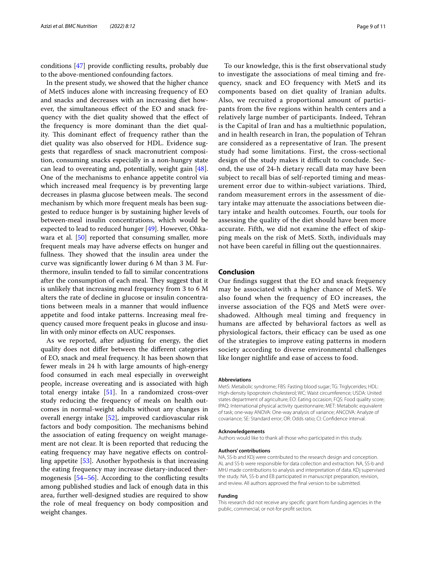conditions [\[47](#page-10-14)] provide conficting results, probably due to the above-mentioned confounding factors.

In the present study, we showed that the higher chance of MetS induces alone with increasing frequency of EO and snacks and decreases with an increasing diet however, the simultaneous efect of the EO and snack frequency with the diet quality showed that the efect of the frequency is more dominant than the diet quality. This dominant effect of frequency rather than the diet quality was also observed for HDL. Evidence suggests that regardless of snack macronutrient composition, consuming snacks especially in a non-hungry state can lead to overeating and, potentially, weight gain  $[48]$  $[48]$ . One of the mechanisms to enhance appetite control via which increased meal frequency is by preventing large decreases in plasma glucose between meals. The second mechanism by which more frequent meals has been suggested to reduce hunger is by sustaining higher levels of between-meal insulin concentrations, which would be expected to lead to reduced hunger [\[49\]](#page-10-16). However, Ohka-wara et al. [\[50](#page-10-17)] reported that consuming smaller, more frequent meals may have adverse efects on hunger and fullness. They showed that the insulin area under the curve was signifcantly lower during 6 M than 3 M. Furthermore, insulin tended to fall to similar concentrations after the consumption of each meal. They suggest that it is unlikely that increasing meal frequency from 3 to 6 M alters the rate of decline in glucose or insulin concentrations between meals in a manner that would infuence appetite and food intake patterns. Increasing meal frequency caused more frequent peaks in glucose and insulin with only minor efects on AUC responses.

As we reported, after adjusting for energy, the diet quality does not difer between the diferent categories of EO, snack and meal frequency. It has been shown that fewer meals in 24 h with large amounts of high-energy food consumed in each meal especially in overweight people, increase overeating and is associated with high total energy intake [[51\]](#page-10-18). In a randomized cross-over study reducing the frequency of meals on health outcomes in normal-weight adults without any changes in overall energy intake [[52](#page-10-19)], improved cardiovascular risk factors and body composition. The mechanisms behind the association of eating frequency on weight management are not clear. It is been reported that reducing the eating frequency may have negative efects on controlling appetite [\[53](#page-10-20)]. Another hypothesis is that increasing the eating frequency may increase dietary-induced thermogenesis [\[54](#page-10-21)[–56](#page-10-22)]. According to the conficting results among published studies and lack of enough data in this area, further well-designed studies are required to show the role of meal frequency on body composition and weight changes.

To our knowledge, this is the frst observational study to investigate the associations of meal timing and frequency, snack and EO frequency with MetS and its components based on diet quality of Iranian adults. Also, we recruited a proportional amount of participants from the fve regions within health centers and a relatively large number of participants. Indeed, Tehran is the Capital of Iran and has a multiethnic population, and in health research in Iran, the population of Tehran are considered as a representative of Iran. The present study had some limitations. First, the cross-sectional design of the study makes it difficult to conclude. Second, the use of 24-h dietary recall data may have been subject to recall bias of self-reported timing and measurement error due to within-subject variations. Third, random measurement errors in the assessment of dietary intake may attenuate the associations between dietary intake and health outcomes. Fourth, our tools for assessing the quality of the diet should have been more accurate. Fifth, we did not examine the efect of skipping meals on the risk of MetS. Sixth, individuals may not have been careful in flling out the questionnaires.

## **Conclusion**

Our fndings suggest that the EO and snack frequency may be associated with a higher chance of MetS. We also found when the frequency of EO increases, the inverse association of the FQS and MetS were overshadowed. Although meal timing and frequency in humans are afected by behavioral factors as well as physiological factors, their efficacy can be used as one of the strategies to improve eating patterns in modern society according to diverse environmental challenges like longer nightlife and ease of access to food.

#### **Abbreviations**

MetS: Metabolic syndrome; FBS: Fasting blood sugar; TG: Triglycerides; HDL: High-density lipoprotein cholesterol; WC: Waist circumference; USDA: United states department of agriculture; EO: Eating occasion; FQS: Food quality score; IPAQ: International physical activity questionnaire; MET: Metabolic equivalent of task; one-way ANOVA: One-way analysis of variance; ANCOVA: Analyze of covariance; SE: Standard error; OR: Odds ratio; CI: Confdence interval.

#### **Acknowledgements**

Authors would like to thank all those who participated in this study.

### **Authors' contributions**

NA, SS-b and KDj were contributed to the research design and conception. AL and SS-b were responsible for data collection and extraction. NA, SS-b and MHJ made contributions to analysis and interpretation of data. KDj supervised the study. NA, SS-b and EB participated in manuscript preparation, revision, and review. All authors approved the fnal version to be submitted.

#### **Funding**

This research did not receive any specifc grant from funding agencies in the public, commercial, or not-for-proft sectors*.*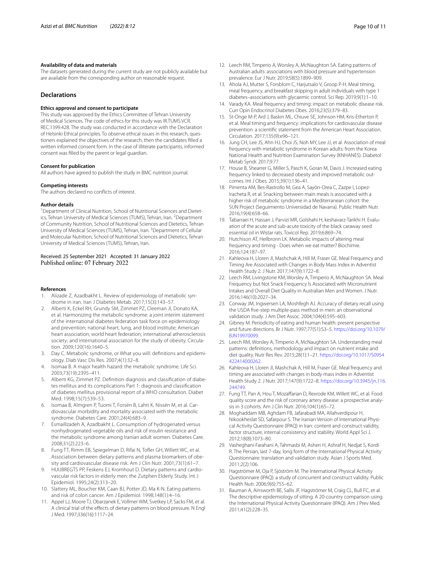### **Availability of data and materials**

The datasets generated during the current study are not publicly available but are available from the corresponding author on reasonable request.

## **Declarations**

### **Ethics approval and consent to participate**

This study was approved by the Ethics Committee of Tehran University of Medical Sciences. The code of ethics for this study was IR.TUMS.VCR. REC.1399.428. The study was conducted in accordance with the Declaration of Helsinki Ethical principles. To observe ethical issues in this research, questioners explained the objectives of the research, then the candidates flled a written informed consent form. In the case of illiterate participants, informed consent was flled by the parent or legal guardian.

#### **Consent for publication**

All authors have agreed to publish the study in BMC nutrition journal.

## **Competing interests**

The authors declared no conficts of interest.

#### **Author details**

<sup>1</sup> Department of Clinical Nutrition, School of Nutritional Sciences and Dietetics, Tehran University of Medical Sciences (TUMS), Tehran, Iran. <sup>2</sup>Department of Community Nutrition, School of Nutritional Sciences and Dietetics, Tehran University of Medical Sciences (TUMS), Tehran, Iran. <sup>3</sup> Department of Cellular and Molecular Nutrition, School of Nutritional Sciences and Dietetics, Tehran University of Medical Sciences (TUMS), Tehran, Iran.

## Received: 25 September 2021 Accepted: 31 January 2022 Published online: 07 February 2022

## **References**

- <span id="page-9-0"></span>1. Alizade Z, Azadbakht L. Review of epidemiology of metabolic syndrome in iran. Iran J Diabetes Metab. 2017;15(3):143–57.
- <span id="page-9-1"></span>2. Alberti K, Eckel RH, Grundy SM, Zimmet PZ, Cleeman JI, Donato KA, et al. Harmonizing the metabolic syndrome: a joint interim statement of the international diabetes federation task force on epidemiology and prevention; national heart, lung, and blood institute; American heart association; world heart federation; international atherosclerosis society; and international association for the study of obesity. Circulation. 2009;120(16):1640–5.
- <span id="page-9-2"></span>3. Day C. Metabolic syndrome, or What you will: definitions and epidemiology. Diab Vasc Dis Res. 2007;4(1):32–8.
- 4. Isomaa B. A major health hazard: the metabolic syndrome. Life Sci. 2003;73(19):2395–411.
- 5. Alberti KG, Zimmet PZ. Definition diagnosis and classification of diabetes mellitus and its complications Part 1: diagnosis and classifcation of diabetes mellitus provisional report of a WHO consultation. Diabet Med. 1998;15(7):539–53.
- 6. Isomaa B, Almgren P, Tuomi T, Forsén B, Lahti K, Nissén M, et al. Cardiovascular morbidity and mortality associated with the metabolic syndrome. Diabetes Care. 2001;24(4):683–9.
- <span id="page-9-3"></span>7. Esmaillzadeh A, Azadbakht L. Consumption of hydrogenated versus nonhydrogenated vegetable oils and risk of insulin resistance and the metabolic syndrome among Iranian adult women. Diabetes Care. 2008;31(2):223–6.
- <span id="page-9-4"></span>8. Fung TT, Rimm EB, Spiegelman D, Rifai N, Tofer GH, Willett WC, et al. Association between dietary patterns and plasma biomarkers of obe‑ sity and cardiovascular disease risk. Am J Clin Nutr. 2001;73(1):61–7.
- 9. HUIJBREGTS PP, Feskens EJ, Kromhout D. Dietary patterns and cardiovascular risk factors in elderly men: the Zutphen Elderly Study. Int J Epidemiol. 1995;24(2):313–20.
- 10. Slattery ML, Boucher KM, Caan BJ, Potter JD, Ma K-N. Eating patterns and risk of colon cancer. Am J Epidemiol. 1998;148(1):4–16.
- 11. Appel LJ, Moore TJ, Obarzanek E, Vollmer WM, Svetkey LP, Sacks FM, et al. A clinical trial of the efects of dietary patterns on blood pressure. N Engl J Med. 1997;336(16):1117–24.
- <span id="page-9-5"></span>12. Leech RM, Timperio A, Worsley A, McNaughton SA. Eating patterns of Australian adults: associations with blood pressure and hypertension prevalence. Eur J Nutr. 2019;58(5):1899–909.
- <span id="page-9-6"></span>13. Ahola AJ, Mutter S, Forsblom C, Harjutsalo V, Groop P-H. Meal timing, meal frequency, and breakfast skipping in adult individuals with type 1 diabetes–associations with glycaemic control. Sci Rep. 2019;9(1):1–10.
- 14. Varady KA. Meal frequency and timing: impact on metabolic disease risk. Curr Opin Endocrinol Diabetes Obes. 2016;23(5):379–83.
- <span id="page-9-7"></span>15. St-Onge M-P, Ard J, Baskin ML, Chiuve SE, Johnson HM, Kris-Etherton P, et al. Meal timing and frequency: implications for cardiovascular disease prevention: a scientifc statement from the American Heart Association. Circulation. 2017;135(9):e96–121.
- <span id="page-9-8"></span>16. Jung CH, Lee JS, Ahn HJ, Choi JS, Noh MY, Lee JJ, et al. Association of meal frequency with metabolic syndrome in Korean adults: from the Korea National Health and Nutrition Examination Survey (KNHANES). Diabetol Metab Syndr. 2017;9:77.
- <span id="page-9-9"></span>17. House B, Shearrer G, Miller S, Pasch K, Goran M, Davis J. Increased eating frequency linked to decreased obesity and improved metabolic outcomes. Int J Obes. 2015;39(1):136–41.
- <span id="page-9-10"></span>18. Pimenta AM, Bes-Rastrollo M, Gea A, Sayón-Orea C, Zazpe I, Lopez-Iracheta R, et al. Snacking between main meals is associated with a higher risk of metabolic syndrome in a Mediterranean cohort: the SUN Project (Seguimiento Universidad de Navarra). Public Health Nutr. 2016;19(4):658–66.
- <span id="page-9-11"></span>19. Tabarraei H, Hassan J, Parvizi MR, Golshahi H, keshavarz-Tarikhi H. Evaluation of the acute and sub-acute toxicity of the black caraway seed essential oil in Wistar rats. Toxicol Rep. 2019;6:869–74.
- <span id="page-9-12"></span>20. Hutchison AT, Heilbronn LK. Metabolic impacts of altering meal frequency and timing - Does when we eat matter? Biochimie. 2016;124:187–97.
- <span id="page-9-13"></span>21. Kahleova H, Lloren JI, Mashchak A, Hill M, Fraser GE. Meal Frequency and Timing Are Associated with Changes in Body Mass Index in Adventist Health Study 2. J Nutr. 2017;147(9):1722–8.
- <span id="page-9-14"></span>22. Leech RM, Livingstone KM, Worsley A, Timperio A, McNaughton SA. Meal Frequency but Not Snack Frequency Is Associated with Micronutrient Intakes and Overall Diet Quality in Australian Men and Women. J Nutr. 2016;146(10):2027–34.
- <span id="page-9-15"></span>23. Conway JM, Ingwersen LA, Moshfegh AJ. Accuracy of dietary recall using the USDA fve-step multiple-pass method in men: an observational validation study. J Am Diet Assoc. 2004;104(4):595–603.
- <span id="page-9-16"></span>24. Gibney M. Periodicity of eating and human health: present perspective and future directions. Br J Nutr. 1997;77(S1):S3–5. [https://doi.org/10.1079/](https://doi.org/10.1079/BJN19970099) [BJN19970099](https://doi.org/10.1079/BJN19970099).
- <span id="page-9-17"></span>25. Leech RM, Worsley A, Timperio A, McNaughton SA. Understanding meal patterns: defnitions, methodology and impact on nutrient intake and diet quality. Nutr Res Rev. 2015;28(1):1–21. [https://doi.org/10.1017/S0954](https://doi.org/10.1017/S0954422414000262) 422414000262
- <span id="page-9-18"></span>26. Kahleova H, Lloren JI, Mashchak A, Hill M, Fraser GE. Meal frequency and timing are associated with changes in body mass index in Adventist Health Study 2. J Nutr. 2017;147(9):1722–8. [https://doi.org/10.3945/jn.116.](https://doi.org/10.3945/jn.116.244749) [244749.](https://doi.org/10.3945/jn.116.244749)
- <span id="page-9-19"></span>27. Fung TT, Pan A, Hou T, Mozaffarian D, Rexrode KM, Willett WC, et al. Food quality score and the risk of coronary artery disease: a prospective analy‑ sis in 3 cohorts. Am J Clin Nutr. 2016;104(1):65–72.
- <span id="page-9-20"></span>28. Moghaddam MB, Aghdam FB, Jafarabadi MA, Allahverdipour H, Nikookheslat SD, Safarpour S. The Iranian Version of International Physical Activity Questionnaire (IPAQ) in Iran: content and construct validity, factor structure, internal consistency and stability. World Appl Sci J. 2012;18(8):1073–80.
- <span id="page-9-21"></span>29. Vasheghani-Farahani A, Tahmasbi M, Asheri H, Ashraf H, Nedjat S, Kordi R. The Persian, last 7-day, long form of the International Physical Activity Questionnaire: translation and validation study. Asian J Sports Med. 2011;2(2):106.
- <span id="page-9-22"></span>30. Hagströmer M, Oja P, Sjöström M. The International Physical Activity Questionnaire (IPAQ): a study of concurrent and construct validity. Public Health Nutr. 2006;9(6):755–62.
- <span id="page-9-23"></span>31. Bauman A, Ainsworth BE, Sallis JF, Hagströmer M, Craig CL, Bull FC, et al. The descriptive epidemiology of sitting. A 20-country comparison using the International Physical Activity Questionnaire (IPAQ). Am J Prev Med. 2011;41(2):228–35.